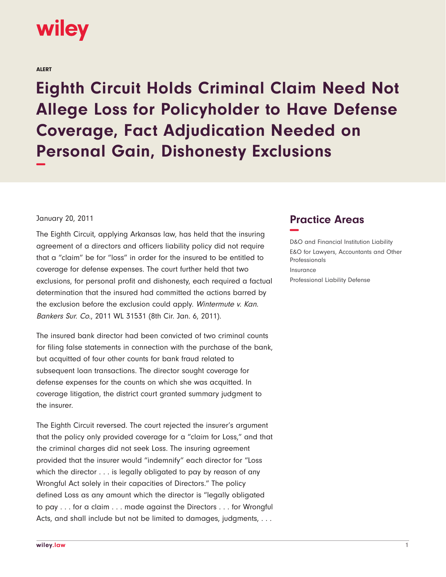## wiley

ALERT

**Eighth Circuit Holds Criminal Claim Need Not Allege Loss for Policyholder to Have Defense Coverage, Fact Adjudication Needed on Personal Gain, Dishonesty Exclusions −**

## January 20, 2011

The Eighth Circuit, applying Arkansas law, has held that the insuring agreement of a directors and officers liability policy did not require that a "claim" be for "loss" in order for the insured to be entitled to coverage for defense expenses. The court further held that two exclusions, for personal profit and dishonesty, each required a factual determination that the insured had committed the actions barred by the exclusion before the exclusion could apply. Wintermute v. Kan. Bankers Sur. Co., 2011 WL 31531 (8th Cir. Jan. 6, 2011).

The insured bank director had been convicted of two criminal counts for filing false statements in connection with the purchase of the bank, but acquitted of four other counts for bank fraud related to subsequent loan transactions. The director sought coverage for defense expenses for the counts on which she was acquitted. In coverage litigation, the district court granted summary judgment to the insurer.

The Eighth Circuit reversed. The court rejected the insurer's argument that the policy only provided coverage for a "claim for Loss," and that the criminal charges did not seek Loss. The insuring agreement provided that the insurer would "indemnify" each director for "Loss which the director . . . is legally obligated to pay by reason of any Wrongful Act solely in their capacities of Directors." The policy defined Loss as any amount which the director is "legally obligated to pay . . . for a claim . . . made against the Directors . . . for Wrongful Acts, and shall include but not be limited to damages, judgments, . . .

## **Practice Areas −**

D&O and Financial Institution Liability E&O for Lawyers, Accountants and Other Professionals Insurance Professional Liability Defense